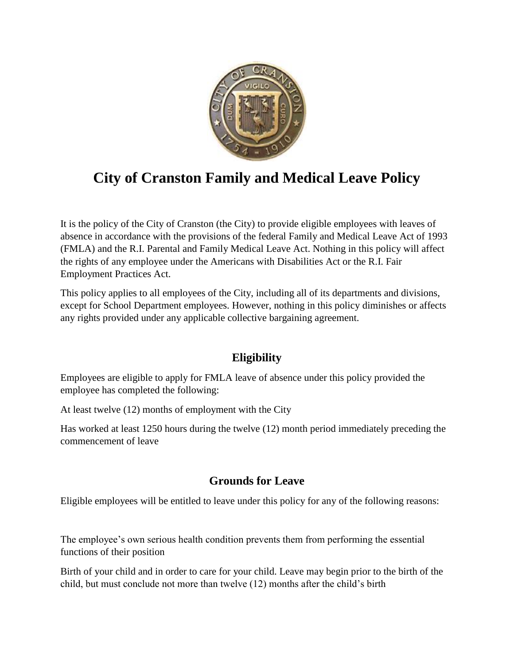

# **City of Cranston Family and Medical Leave Policy**

It is the policy of the City of Cranston (the City) to provide eligible employees with leaves of absence in accordance with the provisions of the federal Family and Medical Leave Act of 1993 (FMLA) and the R.I. Parental and Family Medical Leave Act. Nothing in this policy will affect the rights of any employee under the Americans with Disabilities Act or the R.I. Fair Employment Practices Act.

This policy applies to all employees of the City, including all of its departments and divisions, except for School Department employees. However, nothing in this policy diminishes or affects any rights provided under any applicable collective bargaining agreement.

# **Eligibility**

Employees are eligible to apply for FMLA leave of absence under this policy provided the employee has completed the following:

At least twelve (12) months of employment with the City

Has worked at least 1250 hours during the twelve (12) month period immediately preceding the commencement of leave

# **Grounds for Leave**

Eligible employees will be entitled to leave under this policy for any of the following reasons:

The employee's own serious health condition prevents them from performing the essential functions of their position

Birth of your child and in order to care for your child. Leave may begin prior to the birth of the child, but must conclude not more than twelve (12) months after the child's birth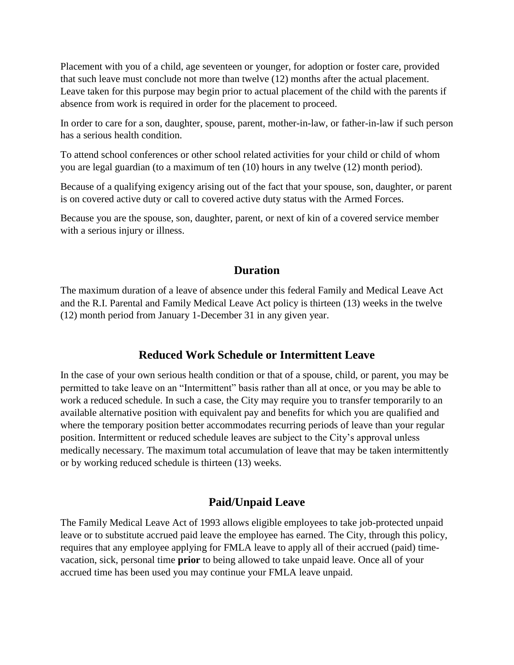Placement with you of a child, age seventeen or younger, for adoption or foster care, provided that such leave must conclude not more than twelve (12) months after the actual placement. Leave taken for this purpose may begin prior to actual placement of the child with the parents if absence from work is required in order for the placement to proceed.

In order to care for a son, daughter, spouse, parent, mother-in-law, or father-in-law if such person has a serious health condition.

To attend school conferences or other school related activities for your child or child of whom you are legal guardian (to a maximum of ten (10) hours in any twelve (12) month period).

Because of a qualifying exigency arising out of the fact that your spouse, son, daughter, or parent is on covered active duty or call to covered active duty status with the Armed Forces.

Because you are the spouse, son, daughter, parent, or next of kin of a covered service member with a serious injury or illness.

## **Duration**

The maximum duration of a leave of absence under this federal Family and Medical Leave Act and the R.I. Parental and Family Medical Leave Act policy is thirteen (13) weeks in the twelve (12) month period from January 1-December 31 in any given year.

## **Reduced Work Schedule or Intermittent Leave**

In the case of your own serious health condition or that of a spouse, child, or parent, you may be permitted to take leave on an "Intermittent" basis rather than all at once, or you may be able to work a reduced schedule. In such a case, the City may require you to transfer temporarily to an available alternative position with equivalent pay and benefits for which you are qualified and where the temporary position better accommodates recurring periods of leave than your regular position. Intermittent or reduced schedule leaves are subject to the City's approval unless medically necessary. The maximum total accumulation of leave that may be taken intermittently or by working reduced schedule is thirteen (13) weeks.

## **Paid/Unpaid Leave**

The Family Medical Leave Act of 1993 allows eligible employees to take job-protected unpaid leave or to substitute accrued paid leave the employee has earned. The City, through this policy, requires that any employee applying for FMLA leave to apply all of their accrued (paid) timevacation, sick, personal time **prior** to being allowed to take unpaid leave. Once all of your accrued time has been used you may continue your FMLA leave unpaid.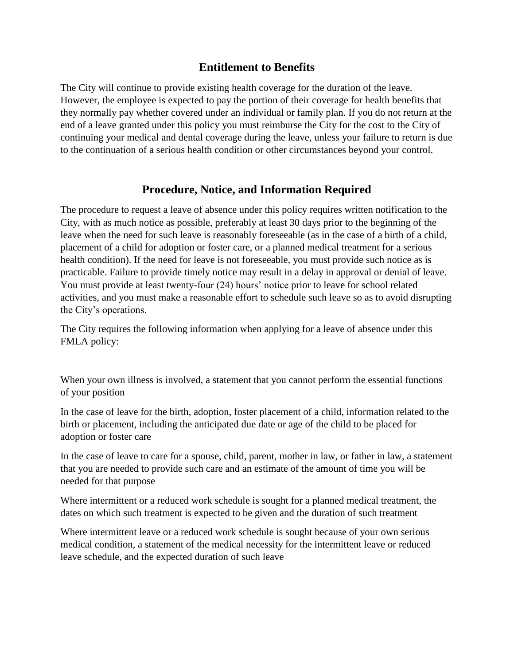## **Entitlement to Benefits**

The City will continue to provide existing health coverage for the duration of the leave. However, the employee is expected to pay the portion of their coverage for health benefits that they normally pay whether covered under an individual or family plan. If you do not return at the end of a leave granted under this policy you must reimburse the City for the cost to the City of continuing your medical and dental coverage during the leave, unless your failure to return is due to the continuation of a serious health condition or other circumstances beyond your control.

## **Procedure, Notice, and Information Required**

The procedure to request a leave of absence under this policy requires written notification to the City, with as much notice as possible, preferably at least 30 days prior to the beginning of the leave when the need for such leave is reasonably foreseeable (as in the case of a birth of a child, placement of a child for adoption or foster care, or a planned medical treatment for a serious health condition). If the need for leave is not foreseeable, you must provide such notice as is practicable. Failure to provide timely notice may result in a delay in approval or denial of leave. You must provide at least twenty-four (24) hours' notice prior to leave for school related activities, and you must make a reasonable effort to schedule such leave so as to avoid disrupting the City's operations.

The City requires the following information when applying for a leave of absence under this FMLA policy:

When your own illness is involved, a statement that you cannot perform the essential functions of your position

In the case of leave for the birth, adoption, foster placement of a child, information related to the birth or placement, including the anticipated due date or age of the child to be placed for adoption or foster care

In the case of leave to care for a spouse, child, parent, mother in law, or father in law, a statement that you are needed to provide such care and an estimate of the amount of time you will be needed for that purpose

Where intermittent or a reduced work schedule is sought for a planned medical treatment, the dates on which such treatment is expected to be given and the duration of such treatment

Where intermittent leave or a reduced work schedule is sought because of your own serious medical condition, a statement of the medical necessity for the intermittent leave or reduced leave schedule, and the expected duration of such leave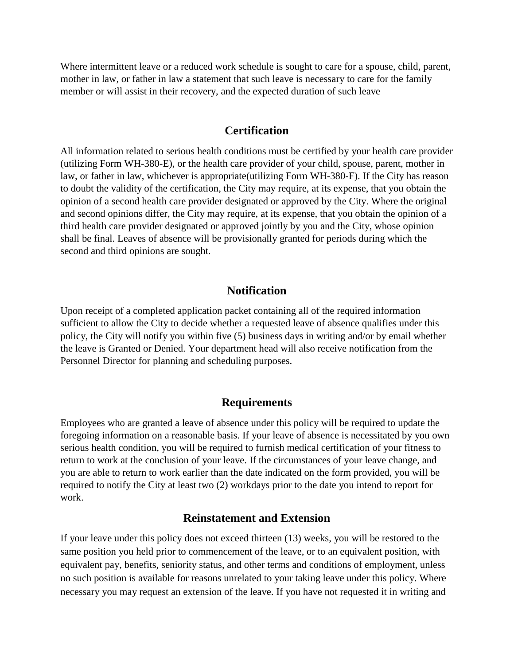Where intermittent leave or a reduced work schedule is sought to care for a spouse, child, parent, mother in law, or father in law a statement that such leave is necessary to care for the family member or will assist in their recovery, and the expected duration of such leave

#### **Certification**

All information related to serious health conditions must be certified by your health care provider (utilizing Form WH-380-E), or the health care provider of your child, spouse, parent, mother in law, or father in law, whichever is appropriate(utilizing Form WH-380-F). If the City has reason to doubt the validity of the certification, the City may require, at its expense, that you obtain the opinion of a second health care provider designated or approved by the City. Where the original and second opinions differ, the City may require, at its expense, that you obtain the opinion of a third health care provider designated or approved jointly by you and the City, whose opinion shall be final. Leaves of absence will be provisionally granted for periods during which the second and third opinions are sought.

## **Notification**

Upon receipt of a completed application packet containing all of the required information sufficient to allow the City to decide whether a requested leave of absence qualifies under this policy, the City will notify you within five (5) business days in writing and/or by email whether the leave is Granted or Denied. Your department head will also receive notification from the Personnel Director for planning and scheduling purposes.

#### **Requirements**

Employees who are granted a leave of absence under this policy will be required to update the foregoing information on a reasonable basis. If your leave of absence is necessitated by you own serious health condition, you will be required to furnish medical certification of your fitness to return to work at the conclusion of your leave. If the circumstances of your leave change, and you are able to return to work earlier than the date indicated on the form provided, you will be required to notify the City at least two (2) workdays prior to the date you intend to report for work.

#### **Reinstatement and Extension**

If your leave under this policy does not exceed thirteen (13) weeks, you will be restored to the same position you held prior to commencement of the leave, or to an equivalent position, with equivalent pay, benefits, seniority status, and other terms and conditions of employment, unless no such position is available for reasons unrelated to your taking leave under this policy. Where necessary you may request an extension of the leave. If you have not requested it in writing and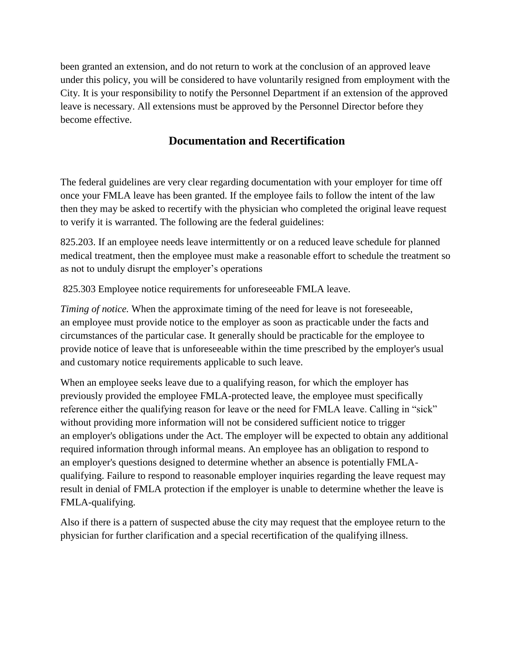been granted an extension, and do not return to work at the conclusion of an approved leave under this policy, you will be considered to have voluntarily resigned from employment with the City. It is your responsibility to notify the Personnel Department if an extension of the approved leave is necessary. All extensions must be approved by the Personnel Director before they become effective.

## **Documentation and Recertification**

The federal guidelines are very clear regarding documentation with your employer for time off once your FMLA leave has been granted. If the employee fails to follow the intent of the law then they may be asked to recertify with the physician who completed the original leave request to verify it is warranted. The following are the federal guidelines:

825.203. If an [employee](https://www.law.cornell.edu/definitions/index.php?width=840&height=800&iframe=true&def_id=bea914a5c8e96d2bd45bd15266f83a24&term_occur=999&term_src=Title:29:Subtitle:B:Chapter:V:Subchapter:C:Part:825:Subpart:B:825.203) needs leave intermittently or on a [reduced leave schedule](https://www.law.cornell.edu/definitions/index.php?width=840&height=800&iframe=true&def_id=6bf5ec230c147c9087ba95c7fc2d99db&term_occur=999&term_src=Title:29:Subtitle:B:Chapter:V:Subchapter:C:Part:825:Subpart:B:825.203) for planned medical treatment, then the [employee](https://www.law.cornell.edu/definitions/index.php?width=840&height=800&iframe=true&def_id=bea914a5c8e96d2bd45bd15266f83a24&term_occur=999&term_src=Title:29:Subtitle:B:Chapter:V:Subchapter:C:Part:825:Subpart:B:825.203) must make a reasonable effort to [schedule](https://www.law.cornell.edu/definitions/index.php?width=840&height=800&iframe=true&def_id=9163814e7cf928b400bc12f18eda8fe9&term_occur=999&term_src=Title:29:Subtitle:B:Chapter:V:Subchapter:C:Part:825:Subpart:B:825.203) the treatment so as not to unduly disrupt the employer's operations

825.303 [Employee](https://www.law.cornell.edu/definitions/index.php?width=840&height=800&iframe=true&def_id=bea914a5c8e96d2bd45bd15266f83a24&term_occur=999&term_src=Title:29:Subtitle:B:Chapter:V:Subchapter:C:Part:825:Subpart:C:825.303) notice requirements for unforeseeable FMLA leave.

*Timing of notice.* When the approximate timing of the need for leave is not foreseeable, an [employee](https://www.law.cornell.edu/definitions/index.php?width=840&height=800&iframe=true&def_id=bea914a5c8e96d2bd45bd15266f83a24&term_occur=999&term_src=Title:29:Subtitle:B:Chapter:V:Subchapter:C:Part:825:Subpart:C:825.303) must provide notice to the [employer](https://www.law.cornell.edu/definitions/index.php?width=840&height=800&iframe=true&def_id=e17aaff285a2b79532ba7888840c00d1&term_occur=999&term_src=Title:29:Subtitle:B:Chapter:V:Subchapter:C:Part:825:Subpart:C:825.303) [as soon as practicable](https://www.law.cornell.edu/definitions/index.php?width=840&height=800&iframe=true&def_id=46e054ba59749967d1750b6b9cb638c3&term_occur=999&term_src=Title:29:Subtitle:B:Chapter:V:Subchapter:C:Part:825:Subpart:C:825.303) under the facts and circumstances of the particular case. It generally should be practicable for the [employee](https://www.law.cornell.edu/definitions/index.php?width=840&height=800&iframe=true&def_id=bea914a5c8e96d2bd45bd15266f83a24&term_occur=999&term_src=Title:29:Subtitle:B:Chapter:V:Subchapter:C:Part:825:Subpart:C:825.303) to provide notice of leave that is unforeseeable within the time prescribed by the [employer's](https://www.law.cornell.edu/definitions/index.php?width=840&height=800&iframe=true&def_id=e17aaff285a2b79532ba7888840c00d1&term_occur=999&term_src=Title:29:Subtitle:B:Chapter:V:Subchapter:C:Part:825:Subpart:C:825.303) usual and customary notice requirements applicable to such leave.

When an [employee](https://www.law.cornell.edu/definitions/index.php?width=840&height=800&iframe=true&def_id=bea914a5c8e96d2bd45bd15266f83a24&term_occur=999&term_src=Title:29:Subtitle:B:Chapter:V:Subchapter:C:Part:825:Subpart:C:825.303) seeks leave due to a qualifying reason, for which the [employer](https://www.law.cornell.edu/definitions/index.php?width=840&height=800&iframe=true&def_id=e17aaff285a2b79532ba7888840c00d1&term_occur=999&term_src=Title:29:Subtitle:B:Chapter:V:Subchapter:C:Part:825:Subpart:C:825.303) has previously provided the [employee](https://www.law.cornell.edu/definitions/index.php?width=840&height=800&iframe=true&def_id=bea914a5c8e96d2bd45bd15266f83a24&term_occur=999&term_src=Title:29:Subtitle:B:Chapter:V:Subchapter:C:Part:825:Subpart:C:825.303) FMLA-protected leave, the [employee](https://www.law.cornell.edu/definitions/index.php?width=840&height=800&iframe=true&def_id=bea914a5c8e96d2bd45bd15266f83a24&term_occur=999&term_src=Title:29:Subtitle:B:Chapter:V:Subchapter:C:Part:825:Subpart:C:825.303) must specifically reference either the qualifying reason for leave or the need for FMLA leave. Calling in "sick" without providing more information will not be considered sufficient notice to trigger an [employer's](https://www.law.cornell.edu/definitions/index.php?width=840&height=800&iframe=true&def_id=e17aaff285a2b79532ba7888840c00d1&term_occur=999&term_src=Title:29:Subtitle:B:Chapter:V:Subchapter:C:Part:825:Subpart:C:825.303) obligations under the Act. The [employer](https://www.law.cornell.edu/definitions/index.php?width=840&height=800&iframe=true&def_id=e17aaff285a2b79532ba7888840c00d1&term_occur=999&term_src=Title:29:Subtitle:B:Chapter:V:Subchapter:C:Part:825:Subpart:C:825.303) will be expected to obtain any additional required information through informal means. An [employee](https://www.law.cornell.edu/definitions/index.php?width=840&height=800&iframe=true&def_id=bea914a5c8e96d2bd45bd15266f83a24&term_occur=999&term_src=Title:29:Subtitle:B:Chapter:V:Subchapter:C:Part:825:Subpart:C:825.303) has an obligation to respond to an [employer's](https://www.law.cornell.edu/definitions/index.php?width=840&height=800&iframe=true&def_id=e17aaff285a2b79532ba7888840c00d1&term_occur=999&term_src=Title:29:Subtitle:B:Chapter:V:Subchapter:C:Part:825:Subpart:C:825.303) questions designed to determine whether an absence is potentially FMLAqualifying. Failure to respond to reasonable [employer](https://www.law.cornell.edu/definitions/index.php?width=840&height=800&iframe=true&def_id=e17aaff285a2b79532ba7888840c00d1&term_occur=999&term_src=Title:29:Subtitle:B:Chapter:V:Subchapter:C:Part:825:Subpart:C:825.303) inquiries regarding the leave [request](https://www.law.cornell.edu/definitions/index.php?width=840&height=800&iframe=true&def_id=a759445299b004d7169686493539757a&term_occur=999&term_src=Title:29:Subtitle:B:Chapter:V:Subchapter:C:Part:825:Subpart:C:825.303) may result in denial of FMLA protection if the [employer](https://www.law.cornell.edu/definitions/index.php?width=840&height=800&iframe=true&def_id=e17aaff285a2b79532ba7888840c00d1&term_occur=999&term_src=Title:29:Subtitle:B:Chapter:V:Subchapter:C:Part:825:Subpart:C:825.303) is unable to determine whether the leave is FMLA-qualifying.

Also if there is a pattern of suspected abuse the city may request that the employee return to the physician for further clarification and a special recertification of the qualifying illness.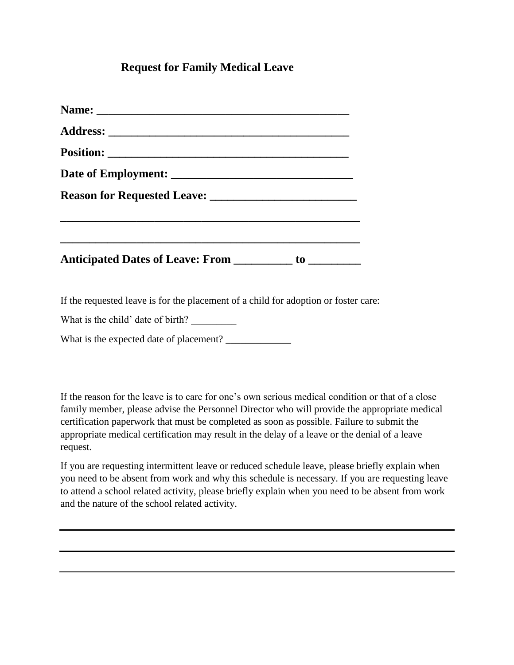## **Request for Family Medical Leave**

If the requested leave is for the placement of a child for adoption or foster care:

What is the child' date of birth?

What is the expected date of placement? \_\_\_\_\_\_\_\_\_\_\_\_\_

If the reason for the leave is to care for one's own serious medical condition or that of a close family member, please advise the Personnel Director who will provide the appropriate medical certification paperwork that must be completed as soon as possible. Failure to submit the appropriate medical certification may result in the delay of a leave or the denial of a leave request.

If you are requesting intermittent leave or reduced schedule leave, please briefly explain when you need to be absent from work and why this schedule is necessary. If you are requesting leave to attend a school related activity, please briefly explain when you need to be absent from work and the nature of the school related activity.